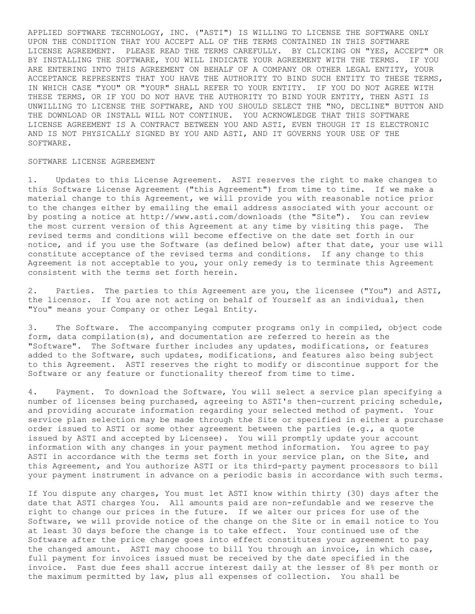APPLIED SOFTWARE TECHNOLOGY, INC. ("ASTI") IS WILLING TO LICENSE THE SOFTWARE ONLY UPON THE CONDITION THAT YOU ACCEPT ALL OF THE TERMS CONTAINED IN THIS SOFTWARE LICENSE AGREEMENT. PLEASE READ THE TERMS CAREFULLY. BY CLICKING ON "YES, ACCEPT" OR BY INSTALLING THE SOFTWARE, YOU WILL INDICATE YOUR AGREEMENT WITH THE TERMS. IF YOU ARE ENTERING INTO THIS AGREEMENT ON BEHALF OF A COMPANY OR OTHER LEGAL ENTITY, YOUR ACCEPTANCE REPRESENTS THAT YOU HAVE THE AUTHORITY TO BIND SUCH ENTITY TO THESE TERMS, IN WHICH CASE "YOU" OR "YOUR" SHALL REFER TO YOUR ENTITY. IF YOU DO NOT AGREE WITH THESE TERMS, OR IF YOU DO NOT HAVE THE AUTHORITY TO BIND YOUR ENTITY, THEN ASTI IS UNWILLING TO LICENSE THE SOFTWARE, AND YOU SHOULD SELECT THE "NO, DECLINE" BUTTON AND THE DOWNLOAD OR INSTALL WILL NOT CONTINUE. YOU ACKNOWLEDGE THAT THIS SOFTWARE LICENSE AGREEMENT IS A CONTRACT BETWEEN YOU AND ASTI, EVEN THOUGH IT IS ELECTRONIC AND IS NOT PHYSICALLY SIGNED BY YOU AND ASTI, AND IT GOVERNS YOUR USE OF THE SOFTWARE.

## SOFTWARE LICENSE AGREEMENT

1. Updates to this License Agreement. ASTI reserves the right to make changes to this Software License Agreement ("this Agreement") from time to time. If we make a material change to this Agreement, we will provide you with reasonable notice prior to the changes either by emailing the email address associated with your account or by posting a notice at http://www.asti.com/downloads (the "Site"). You can review the most current version of this Agreement at any time by visiting this page. The revised terms and conditions will become effective on the date set forth in our notice, and if you use the Software (as defined below) after that date, your use will constitute acceptance of the revised terms and conditions. If any change to this Agreement is not acceptable to you, your only remedy is to terminate this Agreement consistent with the terms set forth herein.

2. Parties. The parties to this Agreement are you, the licensee ("You") and ASTI, the licensor. If You are not acting on behalf of Yourself as an individual, then "You" means your Company or other Legal Entity.

3. The Software. The accompanying computer programs only in compiled, object code form, data compilation(s), and documentation are referred to herein as the "Software". The Software further includes any updates, modifications, or features added to the Software, such updates, modifications, and features also being subject to this Agreement. ASTI reserves the right to modify or discontinue support for the Software or any feature or functionality thereof from time to time.

4. Payment. To download the Software, You will select a service plan specifying a number of licenses being purchased, agreeing to ASTI's then-current pricing schedule, and providing accurate information regarding your selected method of payment. Your service plan selection may be made through the Site or specified in either a purchase order issued to ASTI or some other agreement between the parties (e.g., a quote issued by ASTI and accepted by Licensee). You will promptly update your account information with any changes in your payment method information. You agree to pay ASTI in accordance with the terms set forth in your service plan, on the Site, and this Agreement, and You authorize ASTI or its third-party payment processors to bill your payment instrument in advance on a periodic basis in accordance with such terms.

If You dispute any charges, You must let ASTI know within thirty (30) days after the date that ASTI charges You. All amounts paid are non-refundable and we reserve the right to change our prices in the future. If we alter our prices for use of the Software, we will provide notice of the change on the Site or in email notice to You at least 30 days before the change is to take effect. Your continued use of the Software after the price change goes into effect constitutes your agreement to pay the changed amount. ASTI may choose to bill You through an invoice, in which case, full payment for invoices issued must be received by the date specified in the invoice. Past due fees shall accrue interest daily at the lesser of 8% per month or the maximum permitted by law, plus all expenses of collection. You shall be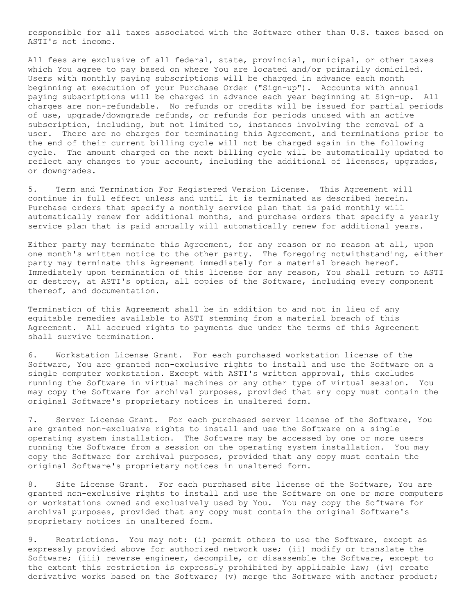responsible for all taxes associated with the Software other than U.S. taxes based on ASTI's net income.

All fees are exclusive of all federal, state, provincial, municipal, or other taxes which You agree to pay based on where You are located and/or primarily domiciled. Users with monthly paying subscriptions will be charged in advance each month beginning at execution of your Purchase Order ("Sign-up"). Accounts with annual paying subscriptions will be charged in advance each year beginning at Sign-up. All charges are non-refundable. No refunds or credits will be issued for partial periods of use, upgrade/downgrade refunds, or refunds for periods unused with an active subscription, including, but not limited to, instances involving the removal of a user. There are no charges for terminating this Agreement, and terminations prior to the end of their current billing cycle will not be charged again in the following cycle. The amount charged on the next billing cycle will be automatically updated to reflect any changes to your account, including the additional of licenses, upgrades, or downgrades.

5. Term and Termination For Registered Version License. This Agreement will continue in full effect unless and until it is terminated as described herein. Purchase orders that specify a monthly service plan that is paid monthly will automatically renew for additional months, and purchase orders that specify a yearly service plan that is paid annually will automatically renew for additional years.

Either party may terminate this Agreement, for any reason or no reason at all, upon one month's written notice to the other party. The foregoing notwithstanding, either party may terminate this Agreement immediately for a material breach hereof. Immediately upon termination of this license for any reason, You shall return to ASTI or destroy, at ASTI's option, all copies of the Software, including every component thereof, and documentation.

Termination of this Agreement shall be in addition to and not in lieu of any equitable remedies available to ASTI stemming from a material breach of this Agreement. All accrued rights to payments due under the terms of this Agreement shall survive termination.

6. Workstation License Grant. For each purchased workstation license of the Software, You are granted non-exclusive rights to install and use the Software on a single computer workstation. Except with ASTI's written approval, this excludes running the Software in virtual machines or any other type of virtual session. You may copy the Software for archival purposes, provided that any copy must contain the original Software's proprietary notices in unaltered form.

7. Server License Grant. For each purchased server license of the Software, You are granted non-exclusive rights to install and use the Software on a single operating system installation. The Software may be accessed by one or more users running the Software from a session on the operating system installation. You may copy the Software for archival purposes, provided that any copy must contain the original Software's proprietary notices in unaltered form.

8. Site License Grant. For each purchased site license of the Software, You are granted non-exclusive rights to install and use the Software on one or more computers or workstations owned and exclusively used by You. You may copy the Software for archival purposes, provided that any copy must contain the original Software's proprietary notices in unaltered form.

9. Restrictions. You may not: (i) permit others to use the Software, except as expressly provided above for authorized network use; (ii) modify or translate the Software; (iii) reverse engineer, decompile, or disassemble the Software, except to the extent this restriction is expressly prohibited by applicable law; (iv) create derivative works based on the Software; (v) merge the Software with another product;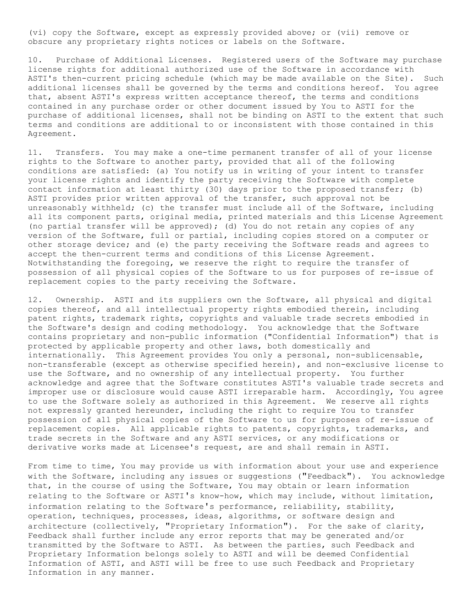(vi) copy the Software, except as expressly provided above; or (vii) remove or obscure any proprietary rights notices or labels on the Software.

10. Purchase of Additional Licenses. Registered users of the Software may purchase license rights for additional authorized use of the Software in accordance with ASTI's then-current pricing schedule (which may be made available on the Site). Such additional licenses shall be governed by the terms and conditions hereof. You agree that, absent ASTI's express written acceptance thereof, the terms and conditions contained in any purchase order or other document issued by You to ASTI for the purchase of additional licenses, shall not be binding on ASTI to the extent that such terms and conditions are additional to or inconsistent with those contained in this Agreement.

11. Transfers. You may make a one-time permanent transfer of all of your license rights to the Software to another party, provided that all of the following conditions are satisfied: (a) You notify us in writing of your intent to transfer your license rights and identify the party receiving the Software with complete contact information at least thirty (30) days prior to the proposed transfer; (b) ASTI provides prior written approval of the transfer, such approval not be unreasonably withheld; (c) the transfer must include all of the Software, including all its component parts, original media, printed materials and this License Agreement (no partial transfer will be approved); (d) You do not retain any copies of any version of the Software, full or partial, including copies stored on a computer or other storage device; and (e) the party receiving the Software reads and agrees to accept the then-current terms and conditions of this License Agreement. Notwithstanding the foregoing, we reserve the right to require the transfer of possession of all physical copies of the Software to us for purposes of re-issue of replacement copies to the party receiving the Software.

12. Ownership. ASTI and its suppliers own the Software, all physical and digital copies thereof, and all intellectual property rights embodied therein, including patent rights, trademark rights, copyrights and valuable trade secrets embodied in the Software's design and coding methodology. You acknowledge that the Software contains proprietary and non-public information ("Confidential Information") that is protected by applicable property and other laws, both domestically and internationally. This Agreement provides You only a personal, non-sublicensable, non-transferable (except as otherwise specified herein), and non-exclusive license to use the Software, and no ownership of any intellectual property. You further acknowledge and agree that the Software constitutes ASTI's valuable trade secrets and improper use or disclosure would cause ASTI irreparable harm. Accordingly, You agree to use the Software solely as authorized in this Agreement. We reserve all rights not expressly granted hereunder, including the right to require You to transfer possession of all physical copies of the Software to us for purposes of re-issue of replacement copies. All applicable rights to patents, copyrights, trademarks, and trade secrets in the Software and any ASTI services, or any modifications or derivative works made at Licensee's request, are and shall remain in ASTI.

From time to time, You may provide us with information about your use and experience with the Software, including any issues or suggestions ("Feedback"). You acknowledge that, in the course of using the Software, You may obtain or learn information relating to the Software or ASTI's know-how, which may include, without limitation, information relating to the Software's performance, reliability, stability, operation, techniques, processes, ideas, algorithms, or software design and architecture (collectively, "Proprietary Information"). For the sake of clarity, Feedback shall further include any error reports that may be generated and/or transmitted by the Software to ASTI. As between the parties, such Feedback and Proprietary Information belongs solely to ASTI and will be deemed Confidential Information of ASTI, and ASTI will be free to use such Feedback and Proprietary Information in any manner.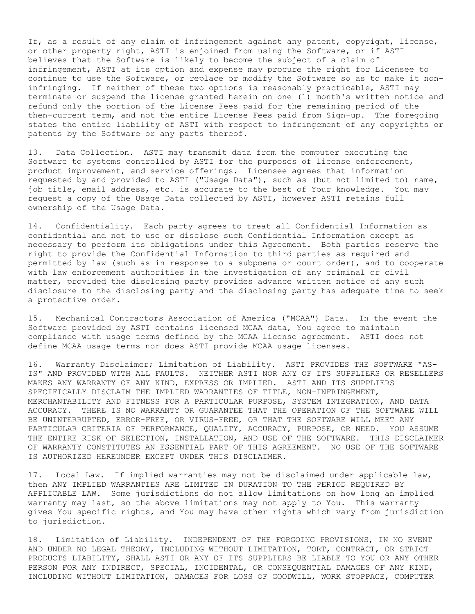If, as a result of any claim of infringement against any patent, copyright, license, or other property right, ASTI is enjoined from using the Software, or if ASTI believes that the Software is likely to become the subject of a claim of infringement, ASTI at its option and expense may procure the right for Licensee to continue to use the Software, or replace or modify the Software so as to make it noninfringing. If neither of these two options is reasonably practicable, ASTI may terminate or suspend the license granted herein on one (1) month's written notice and refund only the portion of the License Fees paid for the remaining period of the then-current term, and not the entire License Fees paid from Sign-up. The foregoing states the entire liability of ASTI with respect to infringement of any copyrights or patents by the Software or any parts thereof.

13. Data Collection. ASTI may transmit data from the computer executing the Software to systems controlled by ASTI for the purposes of license enforcement, product improvement, and service offerings. Licensee agrees that information requested by and provided to ASTI ("Usage Data"), such as (but not limited to) name, job title, email address, etc. is accurate to the best of Your knowledge. You may request a copy of the Usage Data collected by ASTI, however ASTI retains full ownership of the Usage Data.

14. Confidentiality. Each party agrees to treat all Confidential Information as confidential and not to use or disclose such Confidential Information except as necessary to perform its obligations under this Agreement. Both parties reserve the right to provide the Confidential Information to third parties as required and permitted by law (such as in response to a subpoena or court order), and to cooperate with law enforcement authorities in the investigation of any criminal or civil matter, provided the disclosing party provides advance written notice of any such disclosure to the disclosing party and the disclosing party has adequate time to seek a protective order.

15. Mechanical Contractors Association of America ("MCAA") Data. In the event the Software provided by ASTI contains licensed MCAA data, You agree to maintain compliance with usage terms defined by the MCAA license agreement. ASTI does not define MCAA usage terms nor does ASTI provide MCAA usage licenses.

16. Warranty Disclaimer; Limitation of Liability. ASTI PROVIDES THE SOFTWARE "AS-IS" AND PROVIDED WITH ALL FAULTS. NEITHER ASTI NOR ANY OF ITS SUPPLIERS OR RESELLERS MAKES ANY WARRANTY OF ANY KIND, EXPRESS OR IMPLIED. ASTI AND ITS SUPPLIERS SPECIFICALLY DISCLAIM THE IMPLIED WARRANTIES OF TITLE, NON-INFRINGEMENT, MERCHANTABILITY AND FITNESS FOR A PARTICULAR PURPOSE, SYSTEM INTEGRATION, AND DATA ACCURACY. THERE IS NO WARRANTY OR GUARANTEE THAT THE OPERATION OF THE SOFTWARE WILL BE UNINTERRUPTED, ERROR-FREE, OR VIRUS-FREE, OR THAT THE SOFTWARE WILL MEET ANY PARTICULAR CRITERIA OF PERFORMANCE, QUALITY, ACCURACY, PURPOSE, OR NEED. YOU ASSUME THE ENTIRE RISK OF SELECTION, INSTALLATION, AND USE OF THE SOFTWARE. THIS DISCLAIMER OF WARRANTY CONSTITUTES AN ESSENTIAL PART OF THIS AGREEMENT. NO USE OF THE SOFTWARE IS AUTHORIZED HEREUNDER EXCEPT UNDER THIS DISCLAIMER.

17. Local Law. If implied warranties may not be disclaimed under applicable law, then ANY IMPLIED WARRANTIES ARE LIMITED IN DURATION TO THE PERIOD REQUIRED BY APPLICABLE LAW. Some jurisdictions do not allow limitations on how long an implied warranty may last, so the above limitations may not apply to You. This warranty gives You specific rights, and You may have other rights which vary from jurisdiction to jurisdiction.

18. Limitation of Liability. INDEPENDENT OF THE FORGOING PROVISIONS, IN NO EVENT AND UNDER NO LEGAL THEORY, INCLUDING WITHOUT LIMITATION, TORT, CONTRACT, OR STRICT PRODUCTS LIABILITY, SHALL ASTI OR ANY OF ITS SUPPLIERS BE LIABLE TO YOU OR ANY OTHER PERSON FOR ANY INDIRECT, SPECIAL, INCIDENTAL, OR CONSEQUENTIAL DAMAGES OF ANY KIND, INCLUDING WITHOUT LIMITATION, DAMAGES FOR LOSS OF GOODWILL, WORK STOPPAGE, COMPUTER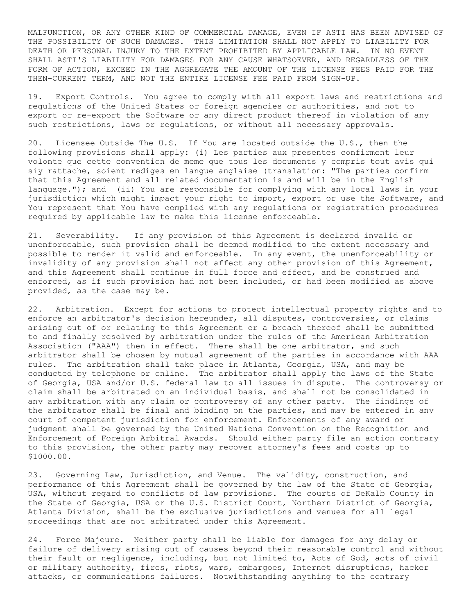MALFUNCTION, OR ANY OTHER KIND OF COMMERCIAL DAMAGE, EVEN IF ASTI HAS BEEN ADVISED OF THE POSSIBILITY OF SUCH DAMAGES. THIS LIMITATION SHALL NOT APPLY TO LIABILITY FOR DEATH OR PERSONAL INJURY TO THE EXTENT PROHIBITED BY APPLICABLE LAW. IN NO EVENT SHALL ASTI'S LIABILITY FOR DAMAGES FOR ANY CAUSE WHATSOEVER, AND REGARDLESS OF THE FORM OF ACTION, EXCEED IN THE AGGREGATE THE AMOUNT OF THE LICENSE FEES PAID FOR THE THEN-CURRENT TERM, AND NOT THE ENTIRE LICENSE FEE PAID FROM SIGN-UP.

19. Export Controls. You agree to comply with all export laws and restrictions and regulations of the United States or foreign agencies or authorities, and not to export or re-export the Software or any direct product thereof in violation of any such restrictions, laws or regulations, or without all necessary approvals.

20. Licensee Outside The U.S. If You are located outside the U.S., then the following provisions shall apply: (i) Les parties aux presentes confirment leur volonte que cette convention de meme que tous les documents y compris tout avis qui siy rattache, soient rediges en langue anglaise (translation: "The parties confirm that this Agreement and all related documentation is and will be in the English language."); and (ii) You are responsible for complying with any local laws in your jurisdiction which might impact your right to import, export or use the Software, and You represent that You have complied with any regulations or registration procedures required by applicable law to make this license enforceable.

21. Severability. If any provision of this Agreement is declared invalid or unenforceable, such provision shall be deemed modified to the extent necessary and possible to render it valid and enforceable. In any event, the unenforceability or invalidity of any provision shall not affect any other provision of this Agreement, and this Agreement shall continue in full force and effect, and be construed and enforced, as if such provision had not been included, or had been modified as above provided, as the case may be.

22. Arbitration. Except for actions to protect intellectual property rights and to enforce an arbitrator's decision hereunder, all disputes, controversies, or claims arising out of or relating to this Agreement or a breach thereof shall be submitted to and finally resolved by arbitration under the rules of the American Arbitration Association ("AAA") then in effect. There shall be one arbitrator, and such arbitrator shall be chosen by mutual agreement of the parties in accordance with AAA rules. The arbitration shall take place in Atlanta, Georgia, USA, and may be conducted by telephone or online. The arbitrator shall apply the laws of the State of Georgia, USA and/or U.S. federal law to all issues in dispute. The controversy or claim shall be arbitrated on an individual basis, and shall not be consolidated in any arbitration with any claim or controversy of any other party. The findings of the arbitrator shall be final and binding on the parties, and may be entered in any court of competent jurisdiction for enforcement. Enforcements of any award or judgment shall be governed by the United Nations Convention on the Recognition and Enforcement of Foreign Arbitral Awards. Should either party file an action contrary to this provision, the other party may recover attorney's fees and costs up to \$1000.00.

23. Governing Law, Jurisdiction, and Venue. The validity, construction, and performance of this Agreement shall be governed by the law of the State of Georgia, USA, without regard to conflicts of law provisions. The courts of DeKalb County in the State of Georgia, USA or the U.S. District Court, Northern District of Georgia, Atlanta Division, shall be the exclusive jurisdictions and venues for all legal proceedings that are not arbitrated under this Agreement.

24. Force Majeure. Neither party shall be liable for damages for any delay or failure of delivery arising out of causes beyond their reasonable control and without their fault or negligence, including, but not limited to, Acts of God, acts of civil or military authority, fires, riots, wars, embargoes, Internet disruptions, hacker attacks, or communications failures. Notwithstanding anything to the contrary